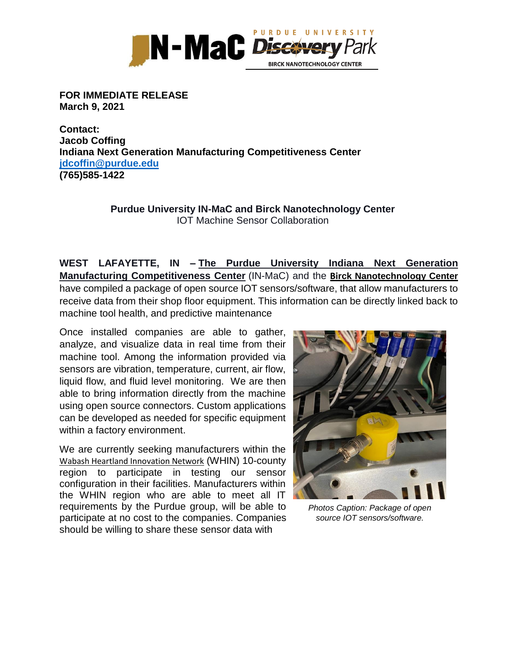

## **FOR IMMEDIATE RELEASE March 9, 2021**

**Contact: Jacob Coffing Indiana Next Generation Manufacturing [Competitiveness](http://www.purdue.edu/in-mac/) Center [jdcoffin@purdue.edu](mailto:jdcoffin@purdue.edu) (765)585-1422**

## **Purdue University IN-MaC and Birck Nanotechnology Center** IOT Machine Sensor Collaboration

**WEST LAFAYETTE, IN – The Purdue University [Indiana Next Generation](http://www.purdue.edu/in-mac/)  [Manufacturing Competitiveness Center](http://www.purdue.edu/in-mac/)** (IN-MaC) and the **Bi[rck Nanotechnology Center](https://www.purdue.edu/discoverypark/birck/)** have compiled a package of open source IOT sensors/software, that allow manufacturers to receive data from their shop floor equipment. This information can be directly linked back to machine tool health, and predictive maintenance

Once installed companies are able to gather, analyze, and visualize data in real time from their machine tool. Among the information provided via sensors are vibration, temperature, current, air flow, liquid flow, and fluid level monitoring. We are then able to bring information directly from the machine using open source connectors. Custom applications can be developed as needed for specific equipment within a factory environment.

We are currently seeking manufacturers within the [Wabash Heartland Innovation Network](https://whin.org/) (WHIN) 10-county region to participate in testing our sensor configuration in their facilities. Manufacturers within the WHIN region who are able to meet all IT requirements by the Purdue group, will be able to participate at no cost to the companies. Companies should be willing to share these sensor data with



*Photos Caption: Package of open source IOT sensors/software.*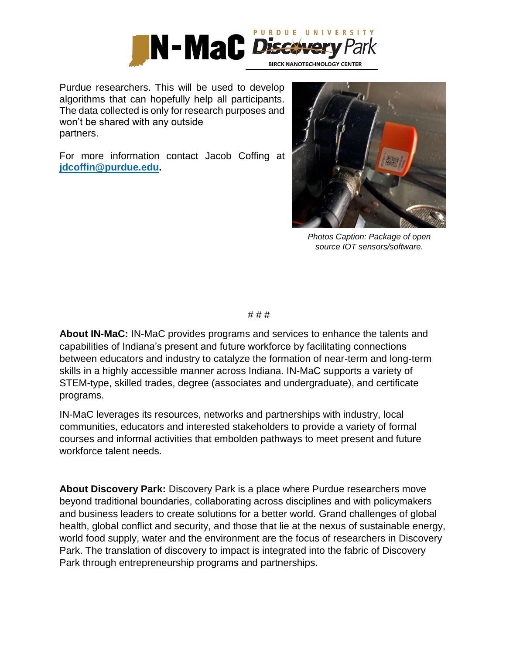

Purdue researchers. This will be used to develop algorithms that can hopefully help all participants. The data collected is only for research purposes and won't be shared with any outside partners.

For more information contact Jacob Coffing at **[jdcoffin@purdue.edu.](mailto:jdcoffin@purdue.edu)**



*Photos Caption: Package of open source IOT sensors/software.* 

# # #

**About IN-MaC:** IN-MaC provides programs and services to enhance the talents and capabilities of Indiana's present and future workforce by facilitating connections between educators and industry to catalyze the formation of near-term and long-term skills in a highly accessible manner across Indiana. IN-MaC supports a variety of STEM-type, skilled trades, degree (associates and undergraduate), and certificate programs.

IN-MaC leverages its resources, networks and partnerships with industry, local communities, educators and interested stakeholders to provide a variety of formal courses and informal activities that embolden pathways to meet present and future workforce talent needs.

**About Discovery Park:** Discovery Park is a place where Purdue researchers move beyond traditional boundaries, collaborating across disciplines and with policymakers and business leaders to create solutions for a better world. Grand challenges of global health, global conflict and security, and those that lie at the nexus of sustainable energy, world food supply, water and the environment are the focus of researchers in Discovery Park. The translation of discovery to impact is integrated into the fabric of Discovery Park through entrepreneurship programs and partnerships.